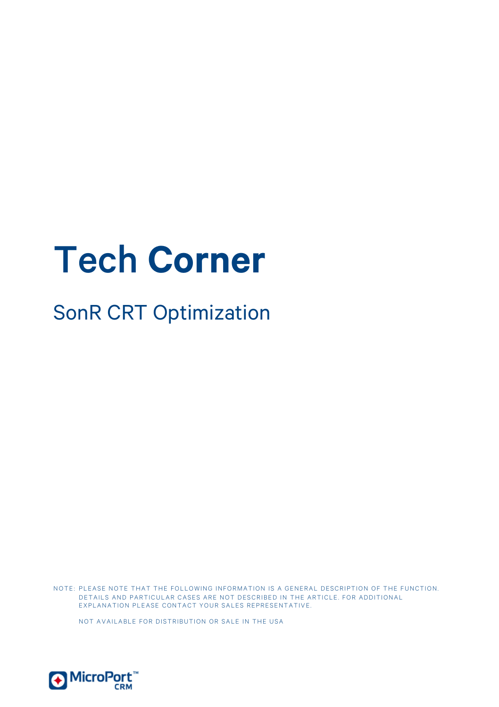# Tech **Corner**

# SonR CRT Optimization

NOTE: PLEASE NOTE THAT THE FOLLOWING INFORMATION IS A GENERAL DESCRIPTION OF THE FUNCTION. DETAILS AND PARTICULAR CASES ARE NOT DESCRIBED IN THE ARTICLE. FOR ADDITIONAL EXPLANATION PLEASE CONTACT YOUR SALES REPRESENTATIVE.

NOT AVAILABLE FOR DISTRIBUTION OR SALE IN THE USA

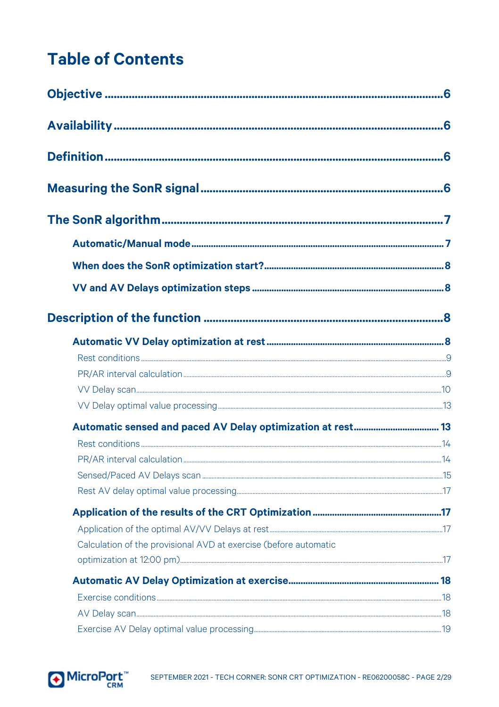# **Table of Contents**

| Calculation of the provisional AVD at exercise (before automatic |  |
|------------------------------------------------------------------|--|
|                                                                  |  |
|                                                                  |  |
|                                                                  |  |
|                                                                  |  |
|                                                                  |  |

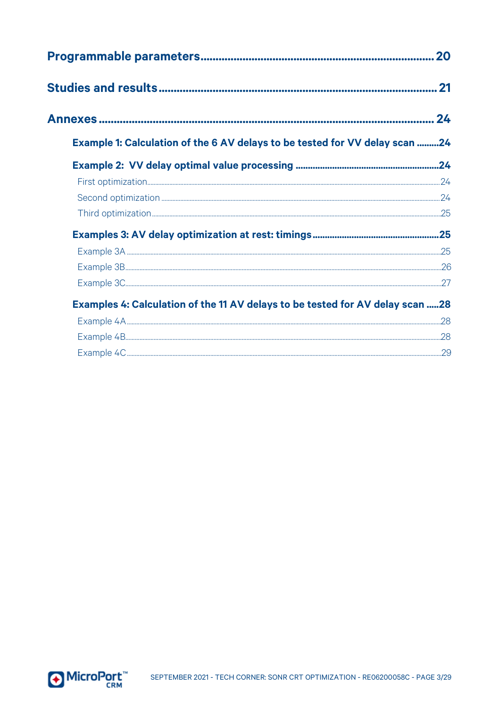| 20                                                                            |    |  |  |  |
|-------------------------------------------------------------------------------|----|--|--|--|
| .21                                                                           |    |  |  |  |
|                                                                               | 24 |  |  |  |
| Example 1: Calculation of the 6 AV delays to be tested for VV delay scan 24   |    |  |  |  |
|                                                                               |    |  |  |  |
|                                                                               |    |  |  |  |
|                                                                               |    |  |  |  |
|                                                                               |    |  |  |  |
|                                                                               |    |  |  |  |
|                                                                               |    |  |  |  |
|                                                                               |    |  |  |  |
|                                                                               |    |  |  |  |
| Examples 4: Calculation of the 11 AV delays to be tested for AV delay scan 28 |    |  |  |  |
|                                                                               |    |  |  |  |
|                                                                               |    |  |  |  |
|                                                                               |    |  |  |  |

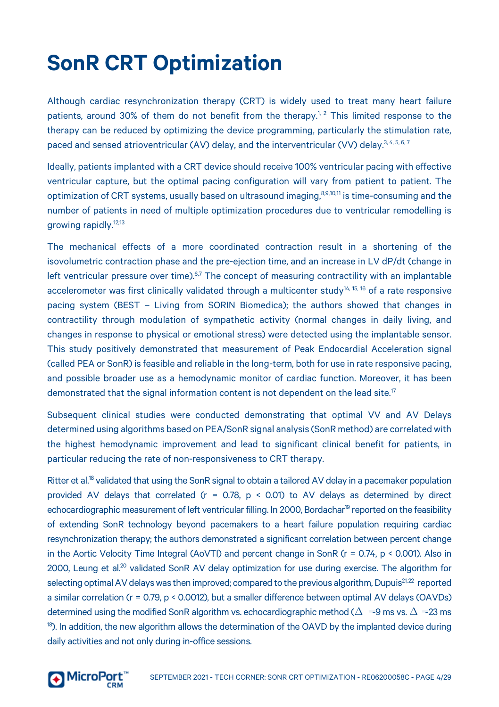# **SonR CRT Optimization**

Although cardiac resynchronization therapy (CRT) is widely used to treat many heart failure patients, around 30% of them do not benefit from the therapy.<sup>1, 2</sup> This limited response to the therapy can be reduced by optimizing the device programming, particularly the stimulation rate, paced and sensed atrioventricular (AV) delay, and the interventricular (VV) delay.<sup>3,4,5,6,7</sup>

Ideally, patients implanted with a CRT device should receive 100% ventricular pacing with effective ventricular capture, but the optimal pacing configuration will vary from patient to patient. The optimization of CRT systems, usually based on ultrasound imaging,<sup>8,9,10,11</sup> is time-consuming and the number of patients in need of multiple optimization procedures due to ventricular remodelling is growing rapidly.<sup>12,13</sup>

The mechanical effects of a more coordinated contraction result in a shortening of the isovolumetric contraction phase and the pre-ejection time, and an increase in LV dP/dt (change in left ventricular pressure over time). $6.7$  The concept of measuring contractility with an implantable accelerometer was first clinically validated through a multicenter study<sup>14, 15, 16</sup> of a rate responsive pacing system (BEST – Living from SORIN Biomedica); the authors showed that changes in contractility through modulation of sympathetic activity (normal changes in daily living, and changes in response to physical or emotional stress) were detected using the implantable sensor. This study positively demonstrated that measurement of Peak Endocardial Acceleration signal (called PEA or SonR) is feasible and reliable in the long-term, both for use in rate responsive pacing, and possible broader use as a hemodynamic monitor of cardiac function. Moreover, it has been demonstrated that the signal information content is not dependent on the lead site.<sup>17</sup>

Subsequent clinical studies were conducted demonstrating that optimal VV and AV Delays determined using algorithms based on PEA/SonR signal analysis (SonR method) are correlated with the highest hemodynamic improvement and lead to significant clinical benefit for patients, in particular reducing the rate of non-responsiveness to CRT therapy.

Ritter et al.<sup>18</sup> validated that using the SonR signal to obtain a tailored AV delay in a pacemaker population provided AV delays that correlated ( $r = 0.78$ ,  $p < 0.01$ ) to AV delays as determined by direct echocardiographic measurement of left ventricular filling. In 2000, Bordachar<sup>19</sup> reported on the feasibility of extending SonR technology beyond pacemakers to a heart failure population requiring cardiac resynchronization therapy; the authors demonstrated a significant correlation between percent change in the Aortic Velocity Time Integral (AoVTI) and percent change in SonR (r = 0.74, p < 0.001). Also in 2000, Leung et al.<sup>20</sup> validated SonR AV delay optimization for use during exercise. The algorithm for selecting optimal AV delays was then improved; compared to the previous algorithm, Dupuis<sup>21,22</sup> reported a similar correlation (r = 0.79, p < 0.0012), but a smaller difference between optimal AV delays (OAVDs) determined using the modified SonR algorithm vs. echocardiographic method ( $\Delta = 9$  ms vs.  $\Delta = 23$  ms <sup>18</sup>). In addition, the new algorithm allows the determination of the OAVD by the implanted device during daily activities and not only during in-office sessions.

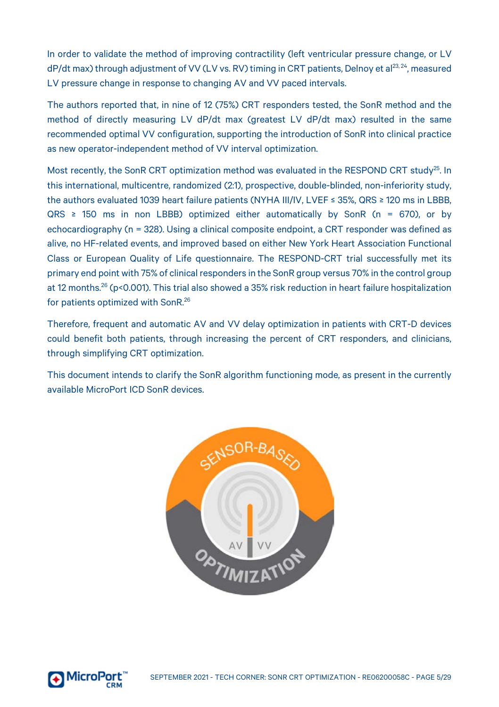In order to validate the method of improving contractility (left ventricular pressure change, or LV dP/dt max) through adjustment of VV (LV vs. RV) timing in CRT patients, Delnoy et al<sup>23, 24</sup>, measured LV pressure change in response to changing AV and VV paced intervals.

The authors reported that, in nine of 12 (75%) CRT responders tested, the SonR method and the method of directly measuring LV dP/dt max (greatest LV dP/dt max) resulted in the same recommended optimal VV configuration, supporting the introduction of SonR into clinical practice as new operator-independent method of VV interval optimization.

Most recently, the SonR CRT optimization method was evaluated in the RESPOND CRT study<sup>25</sup>. In this international, multicentre, randomized (2:1), prospective, double-blinded, non-inferiority study, the authors evaluated 1039 heart failure patients (NYHA III/IV, LVEF ≤ 35%, QRS ≥ 120 ms in LBBB,  $QRS \geq 150$  ms in non LBBB) optimized either automatically by SonR (n = 670), or by echocardiography (n = 328). Using a clinical composite endpoint, a CRT responder was defined as alive, no HF-related events, and improved based on either New York Heart Association Functional Class or European Quality of Life questionnaire. The RESPOND-CRT trial successfully met its primary end point with 75% of clinical responders in the SonR group versus 70% in the control group at 12 months.26 (p<0.001). This trial also showed a 35% risk reduction in heart failure hospitalization for patients optimized with SonR.<sup>26</sup>

Therefore, frequent and automatic AV and VV delay optimization in patients with CRT-D devices could benefit both patients, through increasing the percent of CRT responders, and clinicians, through simplifying CRT optimization.

This document intends to clarify the SonR algorithm functioning mode, as present in the currently available MicroPort ICD SonR devices.



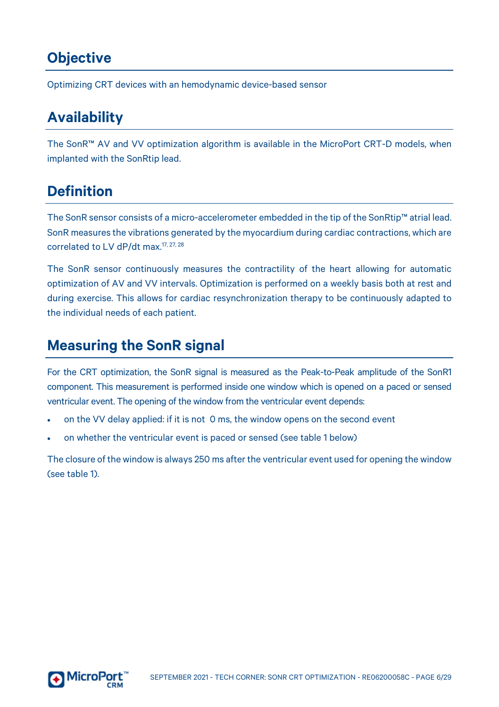# <span id="page-5-0"></span>**Objective**

Optimizing CRT devices with an hemodynamic device-based sensor

# <span id="page-5-1"></span>**Availability**

The SonR™ AV and VV optimization algorithm is available in the MicroPort CRT-D models, when implanted with the SonRtip lead.

# <span id="page-5-2"></span>**Definition**

The SonR sensor consists of a micro-accelerometer embedded in the tip of the SonRtip™ atrial lead. SonR measures the vibrations generated by the myocardium during cardiac contractions, which are correlated to LV dP/dt max.<sup>17, 27, 28</sup>

The SonR sensor continuously measures the contractility of the heart allowing for automatic optimization of AV and VV intervals. Optimization is performed on a weekly basis both at rest and during exercise. This allows for cardiac resynchronization therapy to be continuously adapted to the individual needs of each patient.

# <span id="page-5-3"></span>**Measuring the SonR signal**

For the CRT optimization, the SonR signal is measured as the Peak-to-Peak amplitude of the SonR1 component. This measurement is performed inside one window which is opened on a paced or sensed ventricular event. The opening of the window from the ventricular event depends:

- on the VV delay applied: if it is not 0 ms, the window opens on the second event
- on whether the ventricular event is paced or sensed (see table 1 below)

The closure of the window is always 250 ms after the ventricular event used for opening the window (see table 1).

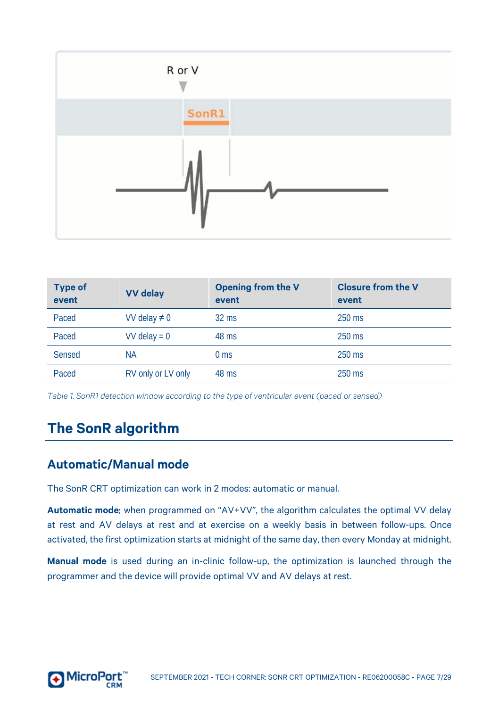

| <b>Type of</b><br>event | <b>VV</b> delay    | Opening from the V<br>event | <b>Closure from the V</b><br>event |
|-------------------------|--------------------|-----------------------------|------------------------------------|
| Paced                   | VV delay $\neq 0$  | $32 \text{ ms}$             | $250$ ms                           |
| Paced                   | $VV$ delay = 0     | 48 ms                       | $250$ ms                           |
| Sensed                  | <b>NA</b>          | 0 <sub>ms</sub>             | $250$ ms                           |
| Paced                   | RV only or LV only | 48 ms                       | $250$ ms                           |

*Table 1. SonR1 detection window according to the type of ventricular event (paced or sensed)*

# <span id="page-6-0"></span>**The SonR algorithm**

# <span id="page-6-1"></span>**Automatic/Manual mode**

The SonR CRT optimization can work in 2 modes: automatic or manual.

**Automatic mode**: when programmed on "AV+VV", the algorithm calculates the optimal VV delay at rest and AV delays at rest and at exercise on a weekly basis in between follow-ups. Once activated, the first optimization starts at midnight of the same day, then every Monday at midnight.

**Manual mode** is used during an in-clinic follow-up, the optimization is launched through the programmer and the device will provide optimal VV and AV delays at rest.

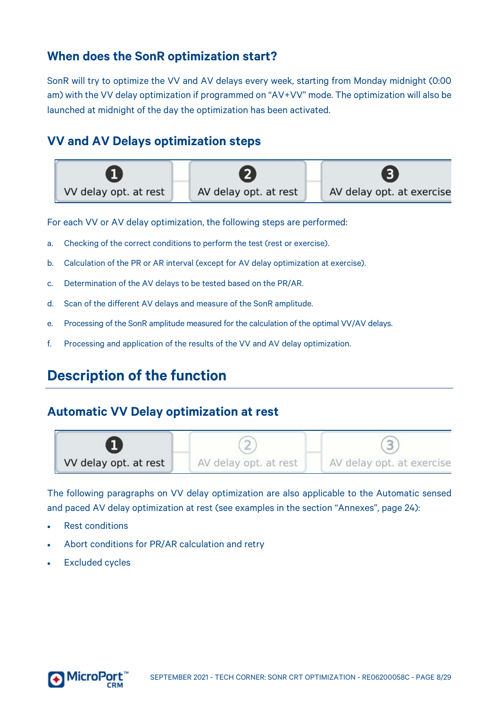# <span id="page-7-0"></span>**When does the SonR optimization start?**

SonR will try to optimize the VV and AV delays every week, starting from Monday midnight (0:00 am) with the VV delay optimization if programmed on "AV+VV" mode. The optimization will also be launched at midnight of the day the optimization has been activated.

### <span id="page-7-1"></span>**VV and AV Delays optimization steps**



For each VV or AV delay optimization, the following steps are performed:

- a. Checking of the correct conditions to perform the test (rest or exercise).
- b. Calculation of the PR or AR interval (except for AV delay optimization at exercise).
- c. Determination of the AV delays to be tested based on the PR/AR.
- d. Scan of the different AV delays and measure of the SonR amplitude.
- e. Processing of the SonR amplitude measured for the calculation of the optimal VV/AV delays.
- <span id="page-7-2"></span>f. Processing and application of the results of the VV and AV delay optimization.

# **Description of the function**

### <span id="page-7-3"></span>**Automatic VV Delay optimization at rest**



The following paragraphs on VV delay optimization are also applicable to the Automatic sensed and paced AV delay optimization at rest (see examples in the section "Annexes", pag[e 24\)](#page-23-0):

- Rest conditions
- Abort conditions for PR/AR calculation and retry
- **Excluded cycles**

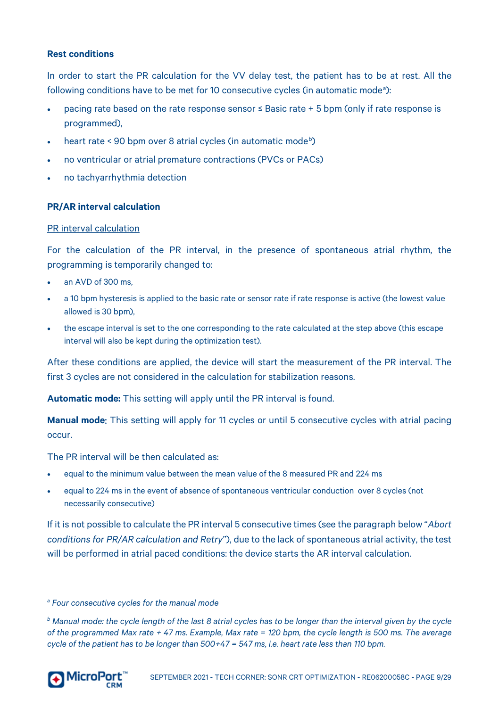#### <span id="page-8-0"></span>**Rest conditions**

In order to start the PR calculation for the VV delay test, the patient has to be at rest. All the following conditions h[a](#page-8-2)ve to be met for 10 consecutive cycles (in automatic mode<sup>a</sup>):

- pacing rate based on the rate response sensor ≤ Basic rate + 5 bpm (only if rate response is programmed),
- heart rate < 90 [b](#page-8-3)pm over 8 atrial cycles (in automatic mode<sup>b</sup>)
- no ventricular or atrial premature contractions (PVCs or PACs)
- no tachyarrhythmia detection

#### <span id="page-8-1"></span>**PR/AR interval calculation**

#### PR interval calculation

For the calculation of the PR interval, in the presence of spontaneous atrial rhythm, the programming is temporarily changed to:

- an AVD of 300 ms
- a 10 bpm hysteresis is applied to the basic rate or sensor rate if rate response is active (the lowest value allowed is 30 bpm),
- the escape interval is set to the one corresponding to the rate calculated at the step above (this escape interval will also be kept during the optimization test).

After these conditions are applied, the device will start the measurement of the PR interval. The first 3 cycles are not considered in the calculation for stabilization reasons.

**Automatic mode:** This setting will apply until the PR interval is found.

**Manual mode**: This setting will apply for 11 cycles or until 5 consecutive cycles with atrial pacing occur.

The PR interval will be then calculated as:

- equal to the minimum value between the mean value of the 8 measured PR and 224 ms
- equal to 224 ms in the event of absence of spontaneous ventricular conduction over 8 cycles (not necessarily consecutive)

If it is not possible to calculate the PR interval 5 consecutive times (see the paragraph below "*Abort conditions for PR/AR calculation and Retry*"), due to the lack of spontaneous atrial activity, the test will be performed in atrial paced conditions: the device starts the AR interval calculation.

<span id="page-8-3"></span>*<sup>b</sup> Manual mode: the cycle length of the last 8 atrial cycles has to be longer than the interval given by the cycle of the programmed Max rate + 47 ms. Example, Max rate = 120 bpm, the cycle length is 500 ms. The average cycle of the patient has to be longer than 500+47 = 547 ms, i.e. heart rate less than 110 bpm.*



<span id="page-8-2"></span>*<sup>a</sup> Four consecutive cycles for the manual mode*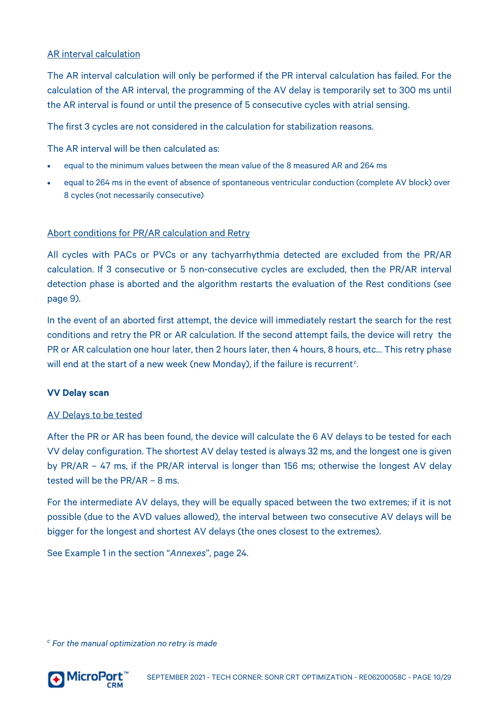#### AR interval calculation

The AR interval calculation will only be performed if the PR interval calculation has failed. For the calculation of the AR interval, the programming of the AV delay is temporarily set to 300 ms until the AR interval is found or until the presence of 5 consecutive cycles with atrial sensing.

The first 3 cycles are not considered in the calculation for stabilization reasons.

The AR interval will be then calculated as:

- equal to the minimum values between the mean value of the 8 measured AR and 264 ms
- equal to 264 ms in the event of absence of spontaneous ventricular conduction (complete AV block) over 8 cycles (not necessarily consecutive)

#### <span id="page-9-2"></span>Abort conditions for PR/AR calculation and Retry

All cycles with PACs or PVCs or any tachyarrhythmia detected are excluded from the PR/AR calculation. If 3 consecutive or 5 non-consecutive cycles are excluded, then the PR/AR interval detection phase is aborted and the algorithm restarts the evaluation of the Rest conditions (see pag[e 9\)](#page-8-0).

In the event of an aborted first attempt, the device will immediately restart the search for the rest conditions and retry the PR or AR calculation. If the second attempt fails, the device will retry the PR or AR calculation one hour later, then 2 hours later, then 4 hours, 8 hours, etc… This retry phase will end at the start of a new week (new Monday), if the failure is re[c](#page-9-1)urrent<sup>c</sup>. .

#### <span id="page-9-0"></span>**VV Delay scan**

#### AV Delays to be tested

After the PR or AR has been found, the device will calculate the 6 AV delays to be tested for each VV delay configuration. The shortest AV delay tested is always 32 ms, and the longest one is given by PR/AR – 47 ms, if the PR/AR interval is longer than 156 ms; otherwise the longest AV delay tested will be the PR/AR – 8 ms.

For the intermediate AV delays, they will be equally spaced between the two extremes; if it is not possible (due to the AVD values allowed), the interval between two consecutive AV delays will be bigger for the longest and shortest AV delays (the ones closest to the extremes).

See Example 1 in the section "*Annexes*", page [24.](#page-23-0) 

<span id="page-9-1"></span>*<sup>c</sup> For the manual optimization no retry is made*

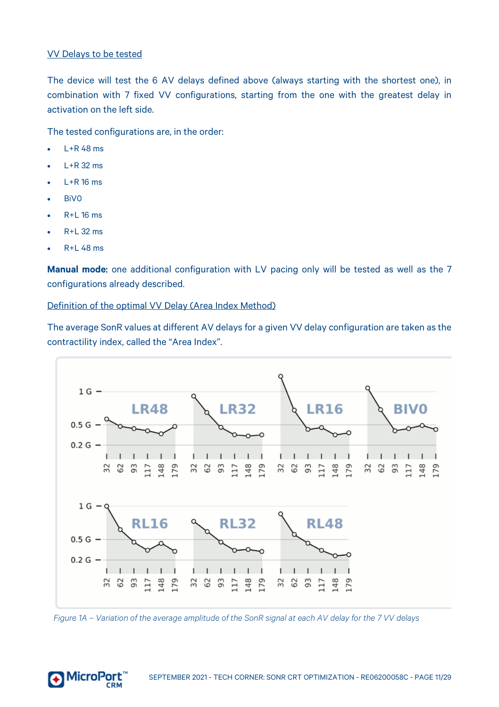#### VV Delays to be tested

The device will test the 6 AV delays defined above (always starting with the shortest one), in combination with 7 fixed VV configurations, starting from the one with the greatest delay in activation on the left side.

The tested configurations are, in the order:

- $I + R$  48 ms
- $L+R$  32 ms
- $l + R$  16 ms
- BiV0
- R+L 16 ms
- $\cdot$  R+L 32 ms
- R+L 48 ms

**Manual mode**: one additional configuration with LV pacing only will be tested as well as the 7 configurations already described.

Definition of the optimal VV Delay (Area Index Method)

The average SonR values at different AV delays for a given VV delay configuration are taken as the contractility index, called the "Area Index".





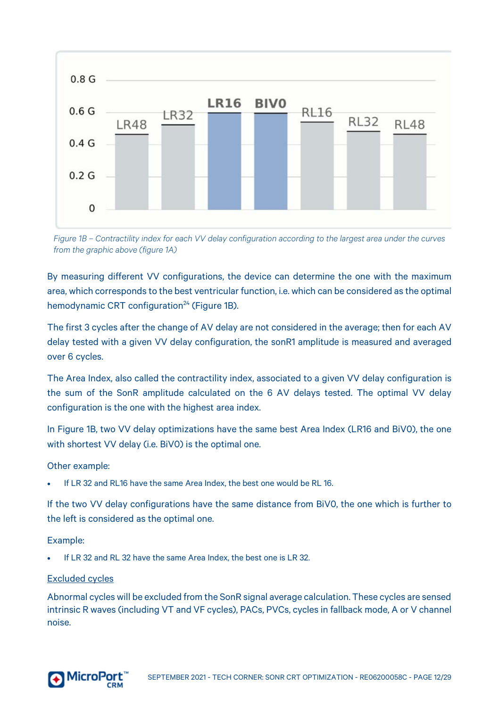

*Figure 1B – Contractility index for each VV delay configuration according to the largest area under the curves from the graphic above (figure 1A)*

By measuring different VV configurations, the device can determine the one with the maximum area, which corresponds to the best ventricular function, i.e. which can be considered as the optimal hemodynamic CRT configuration<sup>24</sup> (Figure 1B).

The first 3 cycles after the change of AV delay are not considered in the average; then for each AV delay tested with a given VV delay configuration, the sonR1 amplitude is measured and averaged over 6 cycles.

The Area Index, also called the contractility index, associated to a given VV delay configuration is the sum of the SonR amplitude calculated on the 6 AV delays tested. The optimal VV delay configuration is the one with the highest area index.

In Figure 1B, two VV delay optimizations have the same best Area Index (LR16 and BiV0), the one with shortest VV delay (i.e. BiVO) is the optimal one.

#### Other example:

• If LR 32 and RL16 have the same Area Index, the best one would be RL 16.

If the two VV delay configurations have the same distance from BiV0, the one which is further to the left is considered as the optimal one.

#### Example:

• If LR 32 and RL 32 have the same Area Index, the best one is LR 32.

#### Excluded cycles

Abnormal cycles will be excluded from the SonR signal average calculation. These cycles are sensed intrinsic R waves (including VT and VF cycles), PACs, PVCs, cycles in fallback mode, A or V channel noise.

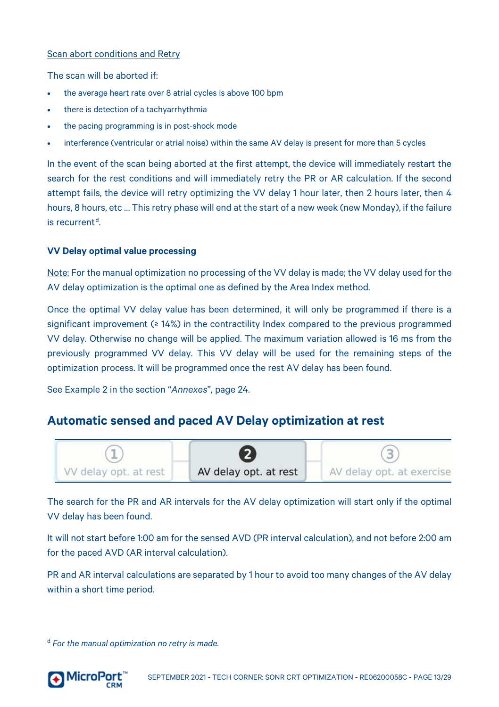#### Scan abort conditions and Retry

The scan will be aborted if:

- the average heart rate over 8 atrial cycles is above 100 bpm
- there is detection of a tachyarrhythmia
- the pacing programming is in post-shock mode
- interference (ventricular or atrial noise) within the same AV delay is present for more than 5 cycles

In the event of the scan being aborted at the first attempt, the device will immediately restart the search for the rest conditions and will immediately retry the PR or AR calculation. If the second attempt fails, the device will retry optimizing the VV delay 1 hour later, then 2 hours later, then 4 hours, 8 hours, etc … This retry phase will end at the start of a new week (new Monday), if the failure  $i$ s recurrent<sup>[d](#page-12-2)</sup> .

#### <span id="page-12-0"></span>**VV Delay optimal value processing**

Note: For the manual optimization no processing of the VV delay is made; the VV delay used for the AV delay optimization is the optimal one as defined by the Area Index method.

Once the optimal VV delay value has been determined, it will only be programmed if there is a significant improvement (≥ 14%) in the contractility Index compared to the previous programmed VV delay. Otherwise no change will be applied. The maximum variation allowed is 16 ms from the previously programmed VV delay. This VV delay will be used for the remaining steps of the optimization process. It will be programmed once the rest AV delay has been found.

See Example 2 in the section "*Annexes*", pag[e 24.](#page-23-2) 

#### <span id="page-12-1"></span>**Automatic sensed and paced AV Delay optimization at rest**



The search for the PR and AR intervals for the AV delay optimization will start only if the optimal VV delay has been found.

It will not start before 1:00 am for the sensed AVD (PR interval calculation), and not before 2:00 am for the paced AVD (AR interval calculation).

PR and AR interval calculations are separated by 1 hour to avoid too many changes of the AV delay within a short time period.

<span id="page-12-2"></span><sup>d</sup> *For the manual optimization no retry is made.*

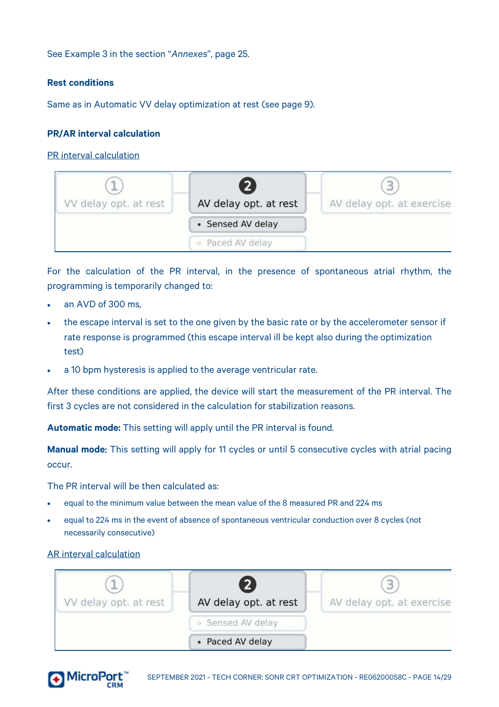See Example 3 in the section "*Annexes*", pag[e 25.](#page-24-1) 

#### <span id="page-13-0"></span>**Rest conditions**

Same as in Automatic VV delay optimization at rest (see page [9\)](#page-8-0).

#### <span id="page-13-1"></span>**PR/AR interval calculation**

PR interval calculation



For the calculation of the PR interval, in the presence of spontaneous atrial rhythm, the programming is temporarily changed to:

- an AVD of 300 ms.
- the escape interval is set to the one given by the basic rate or by the accelerometer sensor if rate response is programmed (this escape interval ill be kept also during the optimization test)
- a 10 bpm hysteresis is applied to the average ventricular rate.

After these conditions are applied, the device will start the measurement of the PR interval. The first 3 cycles are not considered in the calculation for stabilization reasons.

**Automatic mode:** This setting will apply until the PR interval is found.

**Manual mode**: This setting will apply for 11 cycles or until 5 consecutive cycles with atrial pacing occur.

The PR interval will be then calculated as:

- equal to the minimum value between the mean value of the 8 measured PR and 224 ms
- equal to 224 ms in the event of absence of spontaneous ventricular conduction over 8 cycles (not necessarily consecutive)

#### AR interval calculation



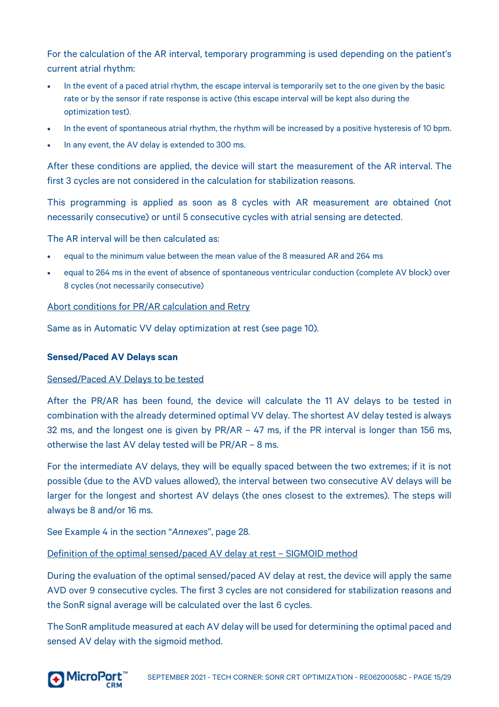For the calculation of the AR interval, temporary programming is used depending on the patient's current atrial rhythm:

- In the event of a paced atrial rhythm, the escape interval is temporarily set to the one given by the basic rate or by the sensor if rate response is active (this escape interval will be kept also during the optimization test).
- In the event of spontaneous atrial rhythm, the rhythm will be increased by a positive hysteresis of 10 bpm.
- In any event, the AV delay is extended to 300 ms.

After these conditions are applied, the device will start the measurement of the AR interval. The first 3 cycles are not considered in the calculation for stabilization reasons.

This programming is applied as soon as 8 cycles with AR measurement are obtained (not necessarily consecutive) or until 5 consecutive cycles with atrial sensing are detected.

The AR interval will be then calculated as:

- equal to the minimum value between the mean value of the 8 measured AR and 264 ms
- equal to 264 ms in the event of absence of spontaneous ventricular conduction (complete AV block) over 8 cycles (not necessarily consecutive)

Abort conditions for PR/AR calculation and Retry

Same as in Automatic VV delay optimization at rest (see pag[e 10\)](#page-9-2).

#### <span id="page-14-0"></span>**Sensed/Paced AV Delays scan**

#### Sensed/Paced AV Delays to be tested

After the PR/AR has been found, the device will calculate the 11 AV delays to be tested in combination with the already determined optimal VV delay. The shortest AV delay tested is always 32 ms, and the longest one is given by PR/AR – 47 ms, if the PR interval is longer than 156 ms, otherwise the last AV delay tested will be PR/AR – 8 ms.

For the intermediate AV delays, they will be equally spaced between the two extremes; if it is not possible (due to the AVD values allowed), the interval between two consecutive AV delays will be larger for the longest and shortest AV delays (the ones closest to the extremes). The steps will always be 8 and/or 16 ms.

See Example 4 in the section "*Annexes*", pag[e 28.](#page-26-1) 

Definition of the optimal sensed/paced AV delay at rest – SIGMOID method

During the evaluation of the optimal sensed/paced AV delay at rest, the device will apply the same AVD over 9 consecutive cycles. The first 3 cycles are not considered for stabilization reasons and the SonR signal average will be calculated over the last 6 cycles.

The SonR amplitude measured at each AV delay will be used for determining the optimal paced and sensed AV delay with the sigmoid method.

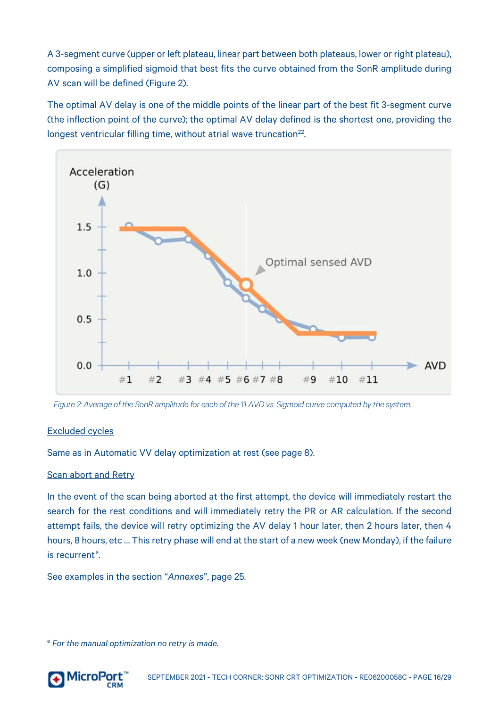A 3-segment curve (upper or left plateau, linear part between both plateaus, lower or right plateau), composing a simplified sigmoid that best fits the curve obtained from the SonR amplitude during AV scan will be defined (Figure 2).

The optimal AV delay is one of the middle points of the linear part of the best fit 3-segment curve (the inflection point of the curve); the optimal AV delay defined is the shortest one, providing the longest ventricular filling time, without atrial wave truncation<sup>22</sup>.



*Figure 2: Average of the SonR amplitude for each of the 11 AVD vs. Sigmoid curve computed by the system.*

#### Excluded cycles

Same as in Automatic VV delay optimization at rest (see pag[e 8\)](#page-7-3).

#### Scan abort and Retry

In the event of the scan being aborted at the first attempt, the device will immediately restart the search for the rest conditions and will immediately retry the PR or AR calculation. If the second attempt fails, the device will retry optimizing the AV delay 1 hour later, then 2 hours later, then 4 hours, 8 hours, etc … This retry phase will end at the start of a new week (new Monday), if the failure is r[e](#page-15-0)current<sup>e</sup>.

See examples in the section "*Annexes*", page [25.](#page-24-1) 

<span id="page-15-0"></span><sup>e</sup> *For the manual optimization no retry is made.*

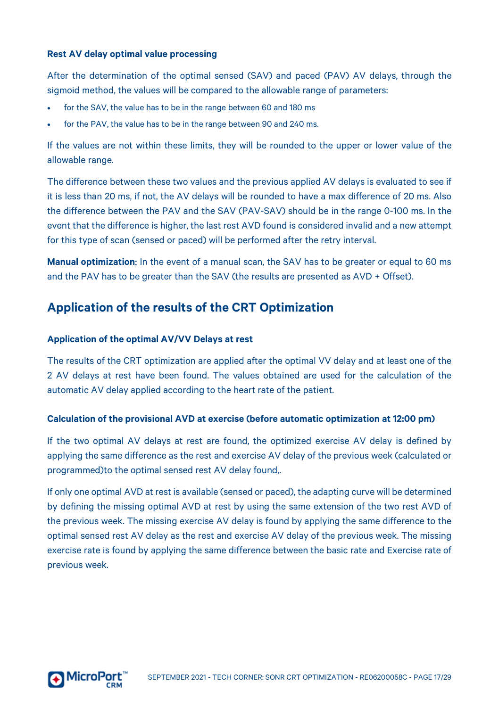#### <span id="page-16-0"></span>**Rest AV delay optimal value processing**

After the determination of the optimal sensed (SAV) and paced (PAV) AV delays, through the sigmoid method, the values will be compared to the allowable range of parameters:

- for the SAV, the value has to be in the range between 60 and 180 ms
- for the PAV, the value has to be in the range between 90 and 240 ms.

If the values are not within these limits, they will be rounded to the upper or lower value of the allowable range.

The difference between these two values and the previous applied AV delays is evaluated to see if it is less than 20 ms, if not, the AV delays will be rounded to have a max difference of 20 ms. Also the difference between the PAV and the SAV (PAV-SAV) should be in the range 0-100 ms. In the event that the difference is higher, the last rest AVD found is considered invalid and a new attempt for this type of scan (sensed or paced) will be performed after the retry interval.

**Manual optimization**: In the event of a manual scan, the SAV has to be greater or equal to 60 ms and the PAV has to be greater than the SAV (the results are presented as AVD + Offset).

# <span id="page-16-1"></span>**Application of the results of the CRT Optimization**

#### <span id="page-16-2"></span>**Application of the optimal AV/VV Delays at rest**

The results of the CRT optimization are applied after the optimal VV delay and at least one of the 2 AV delays at rest have been found. The values obtained are used for the calculation of the automatic AV delay applied according to the heart rate of the patient.

#### <span id="page-16-3"></span>**Calculation of the provisional AVD at exercise (before automatic optimization at 12:00 pm)**

If the two optimal AV delays at rest are found, the optimized exercise AV delay is defined by applying the same difference as the rest and exercise AV delay of the previous week (calculated or programmed)to the optimal sensed rest AV delay found,.

If only one optimal AVD at rest is available (sensed or paced), the adapting curve will be determined by defining the missing optimal AVD at rest by using the same extension of the two rest AVD of the previous week. The missing exercise AV delay is found by applying the same difference to the optimal sensed rest AV delay as the rest and exercise AV delay of the previous week. The missing exercise rate is found by applying the same difference between the basic rate and Exercise rate of previous week.

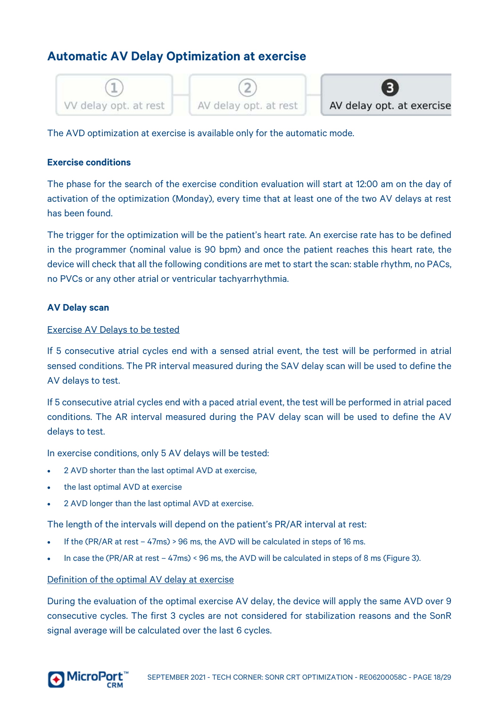# <span id="page-17-0"></span>**Automatic AV Delay Optimization at exercise**



The AVD optimization at exercise is available only for the automatic mode.

#### <span id="page-17-1"></span>**Exercise conditions**

The phase for the search of the exercise condition evaluation will start at 12:00 am on the day of activation of the optimization (Monday), every time that at least one of the two AV delays at rest has been found.

The trigger for the optimization will be the patient's heart rate. An exercise rate has to be defined in the programmer (nominal value is 90 bpm) and once the patient reaches this heart rate, the device will check that all the following conditions are met to start the scan: stable rhythm, no PACs, no PVCs or any other atrial or ventricular tachyarrhythmia.

#### <span id="page-17-2"></span>**AV Delay scan**

#### Exercise AV Delays to be tested

If 5 consecutive atrial cycles end with a sensed atrial event, the test will be performed in atrial sensed conditions. The PR interval measured during the SAV delay scan will be used to define the AV delays to test.

If 5 consecutive atrial cycles end with a paced atrial event, the test will be performed in atrial paced conditions. The AR interval measured during the PAV delay scan will be used to define the AV delays to test.

In exercise conditions, only 5 AV delays will be tested:

- 2 AVD shorter than the last optimal AVD at exercise,
- the last optimal AVD at exercise
- 2 AVD longer than the last optimal AVD at exercise.

The length of the intervals will depend on the patient's PR/AR interval at rest:

- If the (PR/AR at rest 47ms) > 96 ms, the AVD will be calculated in steps of 16 ms.
- In case the (PR/AR at rest 47ms) < 96 ms, the AVD will be calculated in steps of 8 ms (Figure 3).

#### Definition of the optimal AV delay at exercise

During the evaluation of the optimal exercise AV delay, the device will apply the same AVD over 9 consecutive cycles. The first 3 cycles are not considered for stabilization reasons and the SonR signal average will be calculated over the last 6 cycles.

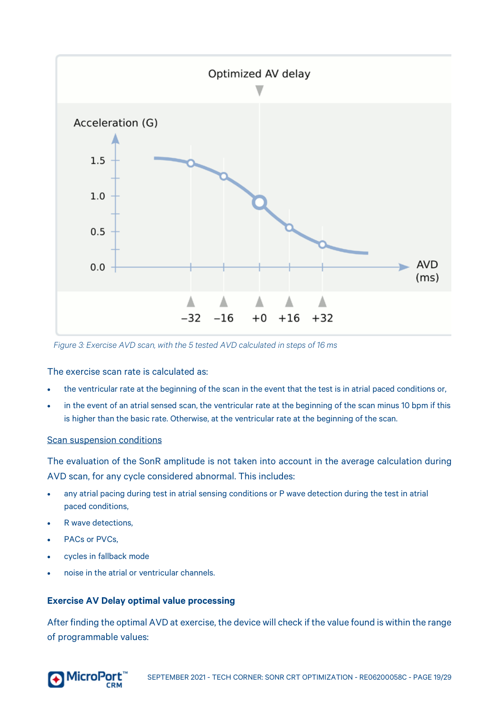

*Figure 3: Exercise AVD scan, with the 5 tested AVD calculated in steps of 16 ms*

The exercise scan rate is calculated as:

- the ventricular rate at the beginning of the scan in the event that the test is in atrial paced conditions or,
- in the event of an atrial sensed scan, the ventricular rate at the beginning of the scan minus 10 bpm if this is higher than the basic rate. Otherwise, at the ventricular rate at the beginning of the scan.

#### Scan suspension conditions

The evaluation of the SonR amplitude is not taken into account in the average calculation during AVD scan, for any cycle considered abnormal. This includes:

- any atrial pacing during test in atrial sensing conditions or P wave detection during the test in atrial paced conditions,
- R wave detections.
- PACs or PVCs.
- cycles in fallback mode
- noise in the atrial or ventricular channels.

#### <span id="page-18-0"></span>**Exercise AV Delay optimal value processing**

After finding the optimal AVD at exercise, the device will check if the value found is within the range of programmable values:

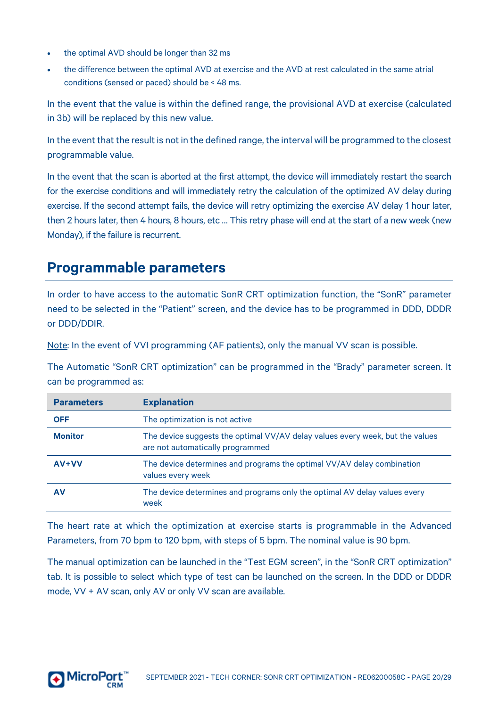- the optimal AVD should be longer than 32 ms
- the difference between the optimal AVD at exercise and the AVD at rest calculated in the same atrial conditions (sensed or paced) should be < 48 ms.

In the event that the value is within the defined range, the provisional AVD at exercise (calculated in 3b) will be replaced by this new value.

In the event that the result is not in the defined range, the interval will be programmed to the closest programmable value.

In the event that the scan is aborted at the first attempt, the device will immediately restart the search for the exercise conditions and will immediately retry the calculation of the optimized AV delay during exercise. If the second attempt fails, the device will retry optimizing the exercise AV delay 1 hour later, then 2 hours later, then 4 hours, 8 hours, etc … This retry phase will end at the start of a new week (new Monday), if the failure is recurrent.

# <span id="page-19-0"></span>**Programmable parameters**

In order to have access to the automatic SonR CRT optimization function, the "SonR" parameter need to be selected in the "Patient" screen, and the device has to be programmed in DDD, DDDR or DDD/DDIR.

Note: In the event of VVI programming (AF patients), only the manual VV scan is possible.

The Automatic "SonR CRT optimization" can be programmed in the "Brady" parameter screen. It can be programmed as:

| <b>Parameters</b> | <b>Explanation</b>                                                                                                |
|-------------------|-------------------------------------------------------------------------------------------------------------------|
| <b>OFF</b>        | The optimization is not active                                                                                    |
| <b>Monitor</b>    | The device suggests the optimal VV/AV delay values every week, but the values<br>are not automatically programmed |
| $AV+VV$           | The device determines and programs the optimal VV/AV delay combination<br>values every week                       |
| AV                | The device determines and programs only the optimal AV delay values every<br>week                                 |

The heart rate at which the optimization at exercise starts is programmable in the Advanced Parameters, from 70 bpm to 120 bpm, with steps of 5 bpm. The nominal value is 90 bpm.

The manual optimization can be launched in the "Test EGM screen", in the "SonR CRT optimization" tab. It is possible to select which type of test can be launched on the screen. In the DDD or DDDR mode, VV + AV scan, only AV or only VV scan are available.

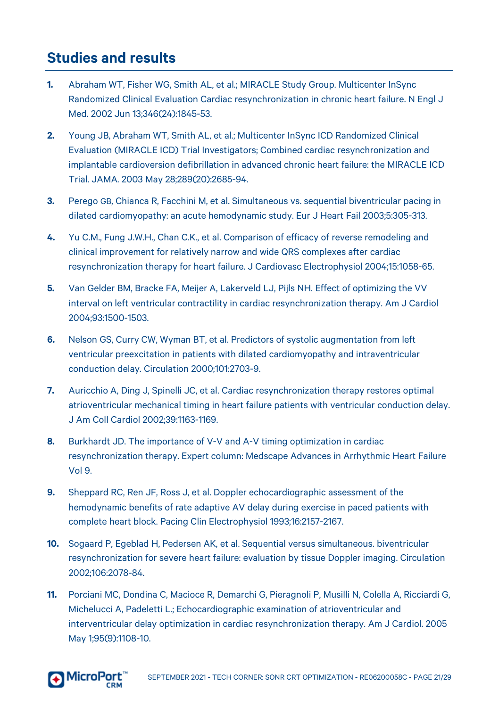# <span id="page-20-0"></span>**Studies and results**

- **1.** Abraham WT, Fisher WG, Smith AL, et al.; MIRACLE Study Group. Multicenter InSync Randomized Clinical Evaluation Cardiac resynchronization in chronic heart failure. N Engl J Med. 2002 Jun 13;346(24):1845-53.
- **2.** Young JB, Abraham WT, Smith AL, et al.; Multicenter InSync ICD Randomized Clinical Evaluation (MIRACLE ICD) Trial Investigators; Combined cardiac resynchronization and implantable cardioversion defibrillation in advanced chronic heart failure: the MIRACLE ICD Trial. JAMA. 2003 May 28;289(20):2685-94.
- **3.** Perego GB, Chianca R, Facchini M, et al. Simultaneous vs. sequential biventricular pacing in dilated cardiomyopathy: an acute hemodynamic study. Eur J Heart Fail 2003;5:305-313.
- **4.** Yu C.M., Fung J.W.H., Chan C.K., et al. Comparison of efficacy of reverse remodeling and clinical improvement for relatively narrow and wide QRS complexes after cardiac resynchronization therapy for heart failure. J Cardiovasc Electrophysiol 2004;15:1058-65.
- **5.** Van Gelder BM, Bracke FA, Meijer A, Lakerveld LJ, Pijls NH. Effect of optimizing the VV interval on left ventricular contractility in cardiac resynchronization therapy. Am J Cardiol 2004;93:1500-1503.
- **6.** Nelson GS, Curry CW, Wyman BT, et al. Predictors of systolic augmentation from left ventricular preexcitation in patients with dilated cardiomyopathy and intraventricular conduction delay. Circulation 2000;101:2703-9.
- **7.** Auricchio A, Ding J, Spinelli JC, et al. Cardiac resynchronization therapy restores optimal atrioventricular mechanical timing in heart failure patients with ventricular conduction delay. J Am Coll Cardiol 2002;39:1163-1169.
- **8.** Burkhardt JD. The importance of V-V and A-V timing optimization in cardiac resynchronization therapy. Expert column: Medscape Advances in Arrhythmic Heart Failure Vol 9.
- **9.** Sheppard RC, Ren JF, Ross J, et al. Doppler echocardiographic assessment of the hemodynamic benefits of rate adaptive AV delay during exercise in paced patients with complete heart block. Pacing Clin Electrophysiol 1993;16:2157-2167.
- **10.** Sogaard P, Egeblad H, Pedersen AK, et al. Sequential versus simultaneous. biventricular resynchronization for severe heart failure: evaluation by tissue Doppler imaging. Circulation 2002;106:2078-84.
- **11.** Porciani MC, Dondina C, Macioce R, Demarchi G, Pieragnoli P, Musilli N, Colella A, Ricciardi G, Michelucci A, Padeletti L.; Echocardiographic examination of atrioventricular and interventricular delay optimization in cardiac resynchronization therapy. Am J Cardiol. 2005 May 1;95(9):1108-10.

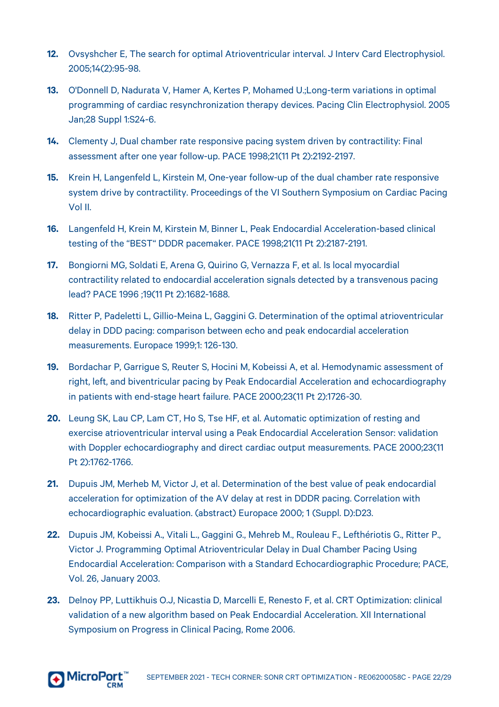- **12.** Ovsyshcher E, The search for optimal Atrioventricular interval. J Interv Card Electrophysiol. 2005;14(2):95-98.
- **13.** O'Donnell D, Nadurata V, Hamer A, Kertes P, Mohamed U.;Long-term variations in optimal programming of cardiac resynchronization therapy devices. Pacing Clin Electrophysiol. 2005 Jan;28 Suppl 1:S24-6.
- **14.** Clementy J, Dual chamber rate responsive pacing system driven by contractility: Final assessment after one year follow-up. PACE 1998;21(11 Pt 2):2192-2197.
- **15.** Krein H, Langenfeld L, Kirstein M, One-year follow-up of the dual chamber rate responsive system drive by contractility. Proceedings of the VI Southern Symposium on Cardiac Pacing Vol II.
- **16.** Langenfeld H, Krein M, Kirstein M, Binner L, Peak Endocardial Acceleration-based clinical testing of the "BEST" DDDR pacemaker. PACE 1998;21(11 Pt 2):2187-2191.
- **17.** Bongiorni MG, Soldati E, Arena G, Quirino G, Vernazza F, et al. Is local myocardial contractility related to endocardial acceleration signals detected by a transvenous pacing lead? PACE 1996 ;19(11 Pt 2):1682-1688.
- **18.** Ritter P, Padeletti L, Gillio-Meina L, Gaggini G. Determination of the optimal atrioventricular delay in DDD pacing: comparison between echo and peak endocardial acceleration measurements. Europace 1999;1: 126-130.
- **19.** Bordachar P, Garrigue S, Reuter S, Hocini M, Kobeissi A, et al. Hemodynamic assessment of right, left, and biventricular pacing by Peak Endocardial Acceleration and echocardiography in patients with end-stage heart failure. PACE 2000;23(11 Pt 2):1726-30.
- **20.** Leung SK, Lau CP, Lam CT, Ho S, Tse HF, et al. Automatic optimization of resting and exercise atrioventricular interval using a Peak Endocardial Acceleration Sensor: validation with Doppler echocardiography and direct cardiac output measurements. PACE 2000;23(11 Pt 2):1762-1766.
- **21.** Dupuis JM, Merheb M, Victor J, et al. Determination of the best value of peak endocardial acceleration for optimization of the AV delay at rest in DDDR pacing. Correlation with echocardiographic evaluation. (abstract) Europace 2000; 1 (Suppl. D):D23.
- **22.** Dupuis JM, Kobeissi A., Vitali L., Gaggini G., Mehreb M., Rouleau F., Lefthériotis G., Ritter P., Victor J. Programming Optimal Atrioventricular Delay in Dual Chamber Pacing Using Endocardial Acceleration: Comparison with a Standard Echocardiographic Procedure; PACE, Vol. 26, January 2003.
- **23.** Delnoy PP, Luttikhuis O.J, Nicastia D, Marcelli E, Renesto F, et al. CRT Optimization: clinical validation of a new algorithm based on Peak Endocardial Acceleration. XII International Symposium on Progress in Clinical Pacing, Rome 2006.

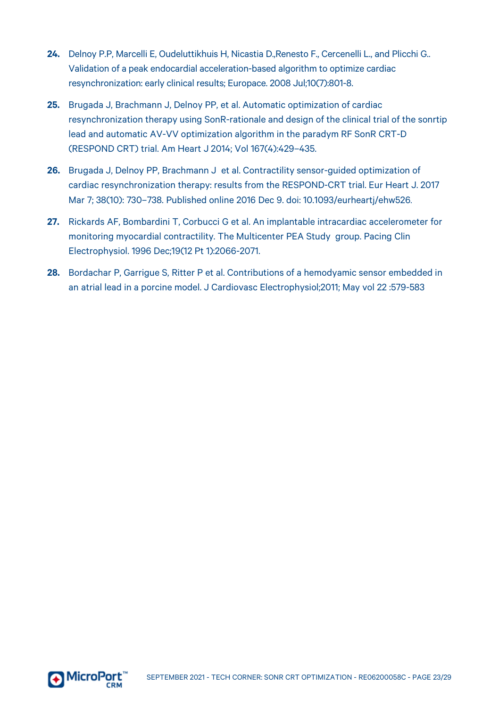- **24.** Delnoy P.P, Marcelli E, Oudeluttikhuis H, Nicastia D.,Renesto F., Cercenelli L., and Plicchi G.. Validation of a peak endocardial acceleration-based algorithm to optimize cardiac resynchronization: early clinical results; Europace. 2008 Jul;10(7):801-8.
- **25.** Brugada J, Brachmann J, Delnoy PP, et al. Automatic optimization of cardiac resynchronization therapy using SonR-rationale and design of the clinical trial of the sonrtip lead and automatic AV-VV optimization algorithm in the paradym RF SonR CRT-D (RESPOND CRT) trial. Am Heart J 2014; Vol 167(4):429–435.
- **26.** Brugada J, Delnoy PP, Brachmann J et al. Contractility sensor-guided optimization of cardiac resynchronization therapy: results from the RESPOND-CRT trial. Eur Heart J. 2017 Mar 7; 38(10): 730–738. Published online 2016 Dec 9. doi: 10.1093/eurheartj/ehw526.
- **27.** Rickards AF, Bombardini T, Corbucci G et al. An implantable intracardiac accelerometer for monitoring myocardial contractility. The Multicenter PEA Study group. Pacing Clin Electrophysiol. 1996 Dec;19(12 Pt 1):2066-2071.
- **28.** Bordachar P, Garrigue S, Ritter P et al. Contributions of a hemodyamic sensor embedded in an atrial lead in a porcine model. J Cardiovasc Electrophysiol;2011; May vol 22 :579-583

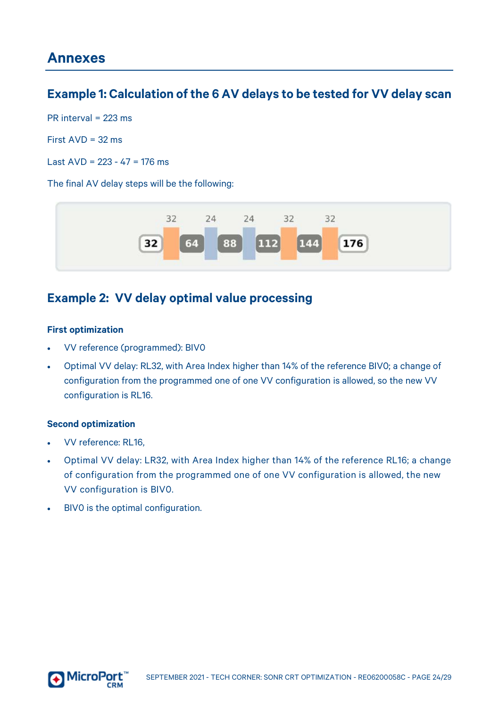# <span id="page-23-1"></span><span id="page-23-0"></span>**Example 1: Calculation of the 6 AV delays to be tested for VV delay scan**

PR interval = 223 ms

First  $AVD = 32$  ms

Last  $AVD = 223 - 47 = 176$  ms

The final AV delay steps will be the following:



## <span id="page-23-2"></span>**Example 2: VV delay optimal value processing**

#### <span id="page-23-3"></span>**First optimization**

- VV reference (programmed): BIV0
- Optimal VV delay: RL32, with Area Index higher than 14% of the reference BIV0; a change of configuration from the programmed one of one VV configuration is allowed, so the new VV configuration is RL16.

#### <span id="page-23-4"></span>**Second optimization**

- VV reference: RL16,
- Optimal VV delay: LR32, with Area Index higher than 14% of the reference RL16; a change of configuration from the programmed one of one VV configuration is allowed, the new VV configuration is BIV0.
- BIVO is the optimal configuration.

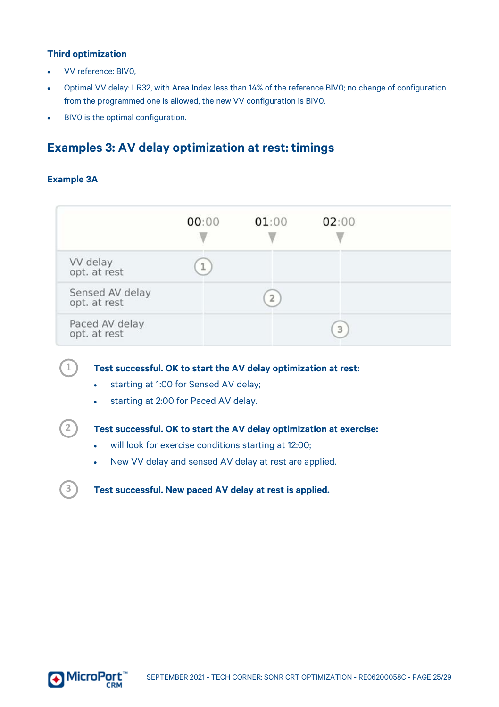#### <span id="page-24-0"></span>**Third optimization**

- VV reference: BIV0,
- Optimal VV delay: LR32, with Area Index less than 14% of the reference BIV0; no change of configuration from the programmed one is allowed, the new VV configuration is BIV0.
- BIVO is the optimal configuration.

# <span id="page-24-1"></span>**Examples 3: AV delay optimization at rest: timings**

#### <span id="page-24-2"></span>**Example 3A**

**2**

 $(1)$ 

**3**

|                                 | 00:00 | 01:00          | 02:00 |  |
|---------------------------------|-------|----------------|-------|--|
| VV delay<br>opt. at rest        | q.    |                |       |  |
| Sensed AV delay<br>opt. at rest |       | $\overline{2}$ |       |  |
| Paced AV delay<br>opt. at rest  |       |                | 3     |  |

**Test successful. OK to start the AV delay optimization at rest:**

- starting at 1:00 for Sensed AV delay;
- starting at 2:00 for Paced AV delay.

#### **Test successful. OK to start the AV delay optimization at exercise:**

- will look for exercise conditions starting at 12:00;
- New VV delay and sensed AV delay at rest are applied.

**Test successful. New paced AV delay at rest is applied.**

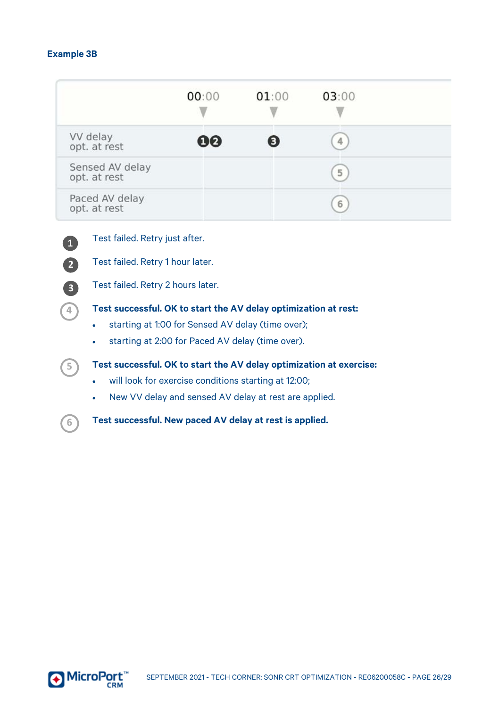#### <span id="page-25-0"></span>**Example 3B**

|                                 | 00:00 | 01:00 | 03:00 |  |
|---------------------------------|-------|-------|-------|--|
| VV delay<br>opt. at rest        | 00    | в     |       |  |
| Sensed AV delay<br>opt. at rest |       |       | 5     |  |
| Paced AV delay<br>opt. at rest  |       |       | 6     |  |



Test failed. Retry just after.

Test failed. Retry 1 hour later.

Test failed. Retry 2 hours later.



#### **Test successful. OK to start the AV delay optimization at rest:**

- starting at 1:00 for Sensed AV delay (time over);
- starting at 2:00 for Paced AV delay (time over).



**6**

#### **Test successful. OK to start the AV delay optimization at exercise:**

- will look for exercise conditions starting at 12:00;
- New VV delay and sensed AV delay at rest are applied.

**Test successful. New paced AV delay at rest is applied.**

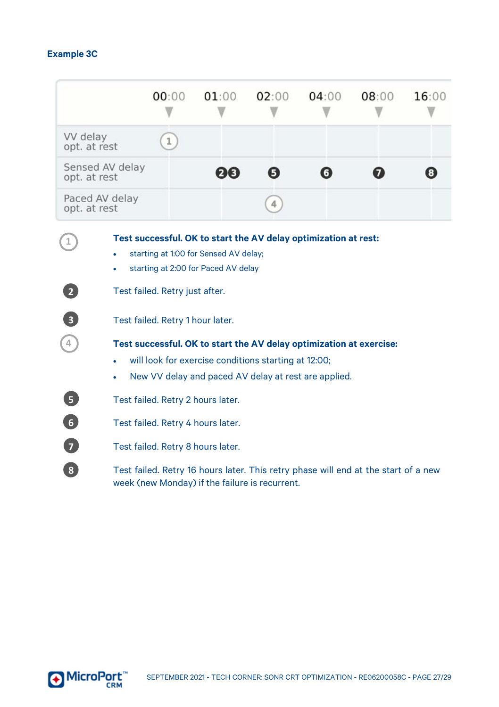## <span id="page-26-0"></span>**Example 3C**

|                                                 |                 | 00:00                             | 01:00                                                                        | 02:00 | 04:00                                                                                                                       | 08:00 | 16:00 |  |
|-------------------------------------------------|-----------------|-----------------------------------|------------------------------------------------------------------------------|-------|-----------------------------------------------------------------------------------------------------------------------------|-------|-------|--|
| W delay<br>opt. at rest                         |                 | 1                                 |                                                                              |       |                                                                                                                             |       |       |  |
| opt. at rest                                    | Sensed AV delay |                                   | 00                                                                           | Ø     | O                                                                                                                           | 67    |       |  |
| opt. at rest                                    | Paced AV delay  |                                   |                                                                              |       |                                                                                                                             |       |       |  |
| 1<br>$\sqrt{2}$                                 |                 | Test failed. Retry just after.    | starting at 1:00 for Sensed AV delay;<br>starting at 2:00 for Paced AV delay |       | Test successful. OK to start the AV delay optimization at rest:                                                             |       |       |  |
| $\left(3\right)$                                |                 | Test failed. Retry 1 hour later.  |                                                                              |       |                                                                                                                             |       |       |  |
| 4                                               | ٠               |                                   | will look for exercise conditions starting at 12:00;                         |       | Test successful. OK to start the AV delay optimization at exercise:<br>New VV delay and paced AV delay at rest are applied. |       |       |  |
| 6                                               |                 | Test failed. Retry 2 hours later. |                                                                              |       |                                                                                                                             |       |       |  |
| $\overline{6}$                                  |                 | Test failed. Retry 4 hours later. |                                                                              |       |                                                                                                                             |       |       |  |
| $\overline{7}$                                  |                 | Test failed. Retry 8 hours later. |                                                                              |       |                                                                                                                             |       |       |  |
| $\left( \begin{array}{c} 3 \end{array} \right)$ |                 |                                   | week (new Monday) if the failure is recurrent.                               |       | Test failed. Retry 16 hours later. This retry phase will end at the start of a new                                          |       |       |  |

<span id="page-26-1"></span>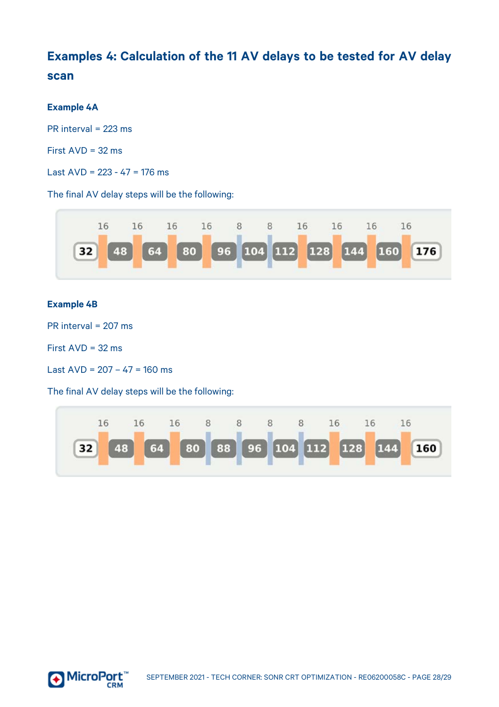# <span id="page-27-0"></span>**Examples 4: Calculation of the 11 AV delays to be tested for AV delay scan**

#### <span id="page-27-1"></span>**Example 4A**

PR interval = 223 ms

First AVD = 32 ms

Last  $AVD = 223 - 47 = 176$  ms

The final AV delay steps will be the following:



#### <span id="page-27-2"></span>**Example 4B**

PR interval = 207 ms

First AVD = 32 ms

Last  $AVD = 207 - 47 = 160$  ms

The final AV delay steps will be the following: